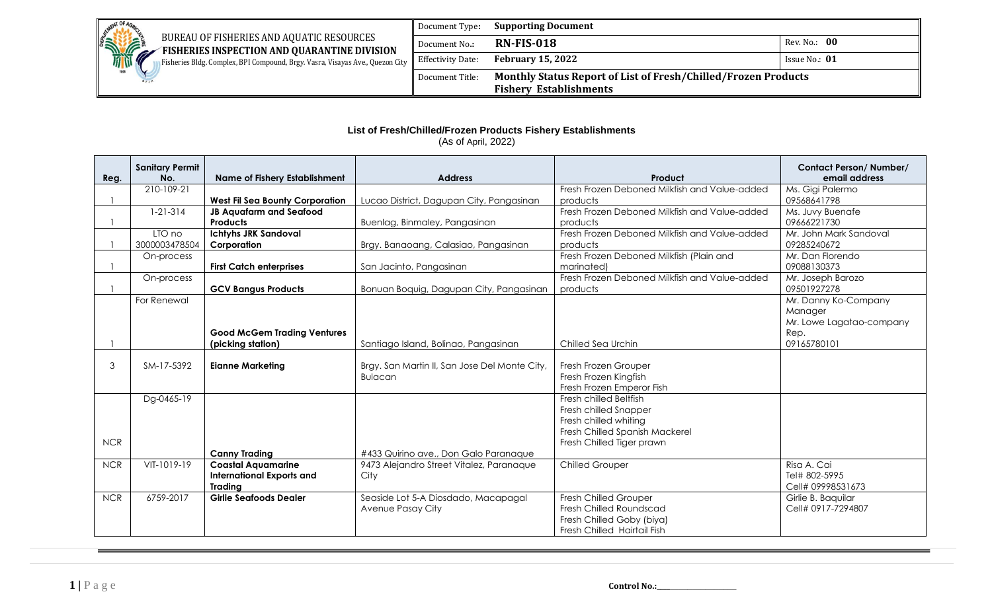

 BUREAU OF FISHERIES AND AQUATIC RESOURCES **EXAMPLE FISHERIES INSPECTION AND QUARANTINE DIVISION** Fisheries Bldg. Complex, BPI Compound, Brgy. Vasra, Visayas Ave., Quezon City

Document Type**: Supporting Document** Document No.: **RN-FIS-018** Rev. No.: 00 **Effectivity Date: February 15, 2022 Issue No.: 01** Document Title: **Monthly Status Report of List of Fresh/Chilled/Frozen Products Fishery Establishments**

## **List of Fresh/Chilled/Frozen Products Fishery Establishments**

(As of April, 2022)

|            | <b>Sanitary Permit</b> |                                        |                                               |                                               | <b>Contact Person/Number/</b> |
|------------|------------------------|----------------------------------------|-----------------------------------------------|-----------------------------------------------|-------------------------------|
| Reg.       | No.                    | <b>Name of Fishery Establishment</b>   | <b>Address</b>                                | Product                                       | email address                 |
|            | 210-109-21             |                                        |                                               | Fresh Frozen Deboned Milkfish and Value-added | Ms. Gigi Palermo              |
|            |                        | <b>West Fil Sea Bounty Corporation</b> | Lucao District, Dagupan City, Pangasinan      | products                                      | 09568641798                   |
|            | $1 - 21 - 314$         | <b>JB Aquafarm and Seafood</b>         |                                               | Fresh Frozen Deboned Milkfish and Value-added | Ms. Juvy Buenafe              |
|            |                        | <b>Products</b>                        | Buenlag, Binmaley, Pangasinan                 | products                                      | 09666221730                   |
|            | LTO no                 | <b>Ichtyhs JRK Sandoval</b>            |                                               | Fresh Frozen Deboned Milkfish and Value-added | Mr. John Mark Sandoval        |
|            | 3000003478504          | Corporation                            | Brgy. Banaoang, Calasiao, Pangasinan          | products                                      | 09285240672                   |
|            | On-process             |                                        |                                               | Fresh Frozen Deboned Milkfish (Plain and      | Mr. Dan Florendo              |
|            |                        | <b>First Catch enterprises</b>         | San Jacinto, Pangasinan                       | marinated)                                    | 09088130373                   |
|            | On-process             |                                        |                                               | Fresh Frozen Deboned Milkfish and Value-added | Mr. Joseph Barozo             |
|            |                        | <b>GCV Bangus Products</b>             | Bonuan Boquig, Dagupan City, Pangasinan       | products                                      | 09501927278                   |
|            | For Renewal            |                                        |                                               |                                               | Mr. Danny Ko-Company          |
|            |                        |                                        |                                               |                                               | Manager                       |
|            |                        |                                        |                                               |                                               | Mr. Lowe Lagatao-company      |
|            |                        | <b>Good McGem Trading Ventures</b>     |                                               |                                               | Rep.                          |
|            |                        | (picking station)                      | Santiago Island, Bolinao, Pangasinan          | Chilled Sea Urchin                            | 09165780101                   |
|            |                        |                                        |                                               |                                               |                               |
| 3          | SM-17-5392             | <b>Eianne Marketing</b>                | Brgy. San Martin II, San Jose Del Monte City, | Fresh Frozen Grouper                          |                               |
|            |                        |                                        | <b>Bulacan</b>                                | Fresh Frozen Kingfish                         |                               |
|            |                        |                                        |                                               | Fresh Frozen Emperor Fish                     |                               |
|            | Dg-0465-19             |                                        |                                               | Fresh chilled Beltfish                        |                               |
|            |                        |                                        |                                               | Fresh chilled Snapper                         |                               |
|            |                        |                                        |                                               | Fresh chilled whiting                         |                               |
|            |                        |                                        |                                               | Fresh Chilled Spanish Mackerel                |                               |
| <b>NCR</b> |                        |                                        |                                               | Fresh Chilled Tiger prawn                     |                               |
|            |                        | <b>Canny Trading</b>                   | #433 Quirino ave., Don Galo Paranaque         |                                               |                               |
| <b>NCR</b> | VIT-1019-19            | <b>Coastal Aquamarine</b>              | 9473 Alejandro Street Vitalez, Paranaque      | <b>Chilled Grouper</b>                        | Risa A. Cai                   |
|            |                        | <b>International Exports and</b>       | City                                          |                                               | Tel# 802-5995                 |
|            |                        | <b>Trading</b>                         |                                               |                                               | Cell# 09998531673             |
| <b>NCR</b> | 6759-2017              | <b>Girlie Seafoods Dealer</b>          | Seaside Lot 5-A Diosdado, Macapagal           | Fresh Chilled Grouper                         | Girlie B. Baquilar            |
|            |                        |                                        | Avenue Pasay City                             | Fresh Chilled Roundscad                       | Cell# 0917-7294807            |
|            |                        |                                        |                                               | Fresh Chilled Goby (biya)                     |                               |
|            |                        |                                        |                                               | Fresh Chilled Hairtail Fish                   |                               |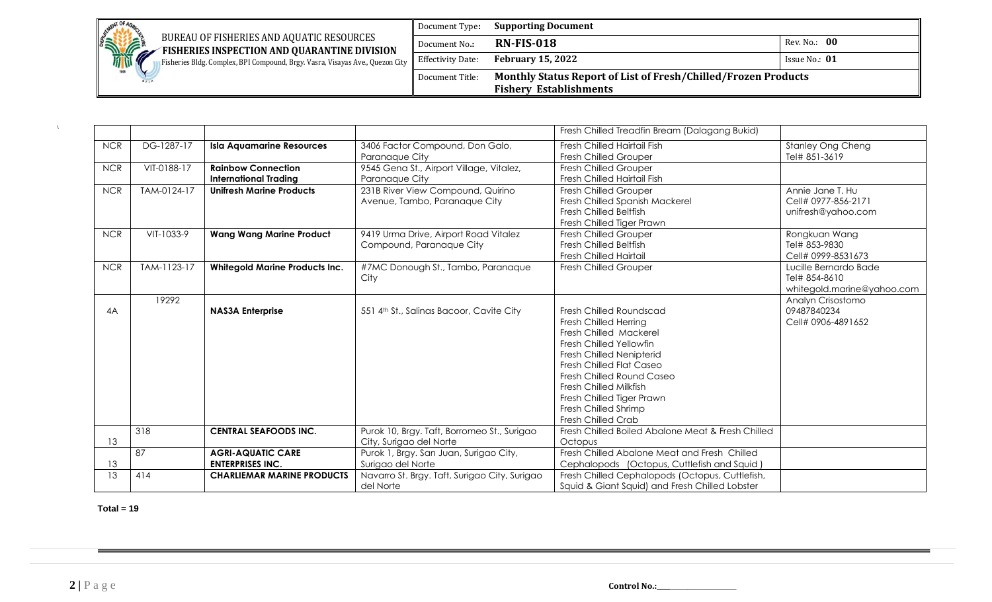| <b>MENT OF A</b>                                                                                   | Document Type:                | <b>Supporting Document</b>                                            |                 |
|----------------------------------------------------------------------------------------------------|-------------------------------|-----------------------------------------------------------------------|-----------------|
| STATE<br>BUREAU OF FISHERIES AND AQUATIC RESOURCES<br>FISHERIES INSPECTION AND QUARANTINE DIVISION | Document No.:                 | $RN$ -FIS-018                                                         | Rev. No.: 00    |
| Fisheries Bldg. Complex, BPI Compound, Brgy. Vasra, Visayas Ave., Quezon City                      | $\parallel$ Effectivity Date: | <b>February 15, 2022</b>                                              | Issue No.: $01$ |
| 1801                                                                                               | Document Title:               | <b>Monthly Status Report of List of Fresh/Chilled/Frozen Products</b> |                 |
|                                                                                                    |                               | <b>Fishery Establishments</b>                                         |                 |

|            |             |                                       |                                               | Fresh Chilled Treadfin Bream (Dalagang Bukid)     |                            |
|------------|-------------|---------------------------------------|-----------------------------------------------|---------------------------------------------------|----------------------------|
| <b>NCR</b> | DG-1287-17  | <b>Isla Aquamarine Resources</b>      | 3406 Factor Compound, Don Galo,               | Fresh Chilled Hairtail Fish                       | <b>Stanley Ong Cheng</b>   |
|            |             |                                       | Paranaque City                                | <b>Fresh Chilled Grouper</b>                      | Tel# 851-3619              |
| <b>NCR</b> | VIT-0188-17 | <b>Rainbow Connection</b>             | 9545 Gena St., Airport Village, Vitalez,      | <b>Fresh Chilled Grouper</b>                      |                            |
|            |             | <b>International Trading</b>          | Paranaque City                                | Fresh Chilled Hairtail Fish                       |                            |
| <b>NCR</b> | TAM-0124-17 | <b>Unifresh Marine Products</b>       | 231B River View Compound, Quirino             | <b>Fresh Chilled Grouper</b>                      | Annie Jane T. Hu           |
|            |             |                                       | Avenue, Tambo, Paranaque City                 | Fresh Chilled Spanish Mackerel                    | Cell# 0977-856-2171        |
|            |             |                                       |                                               | <b>Fresh Chilled Beltfish</b>                     | unifresh@yahoo.com         |
|            |             |                                       |                                               | Fresh Chilled Tiger Prawn                         |                            |
| <b>NCR</b> | VIT-1033-9  | <b>Wang Wang Marine Product</b>       | 9419 Urma Drive, Airport Road Vitalez         | <b>Fresh Chilled Grouper</b>                      | Rongkuan Wang              |
|            |             |                                       | Compound, Paranaque City                      | <b>Fresh Chilled Beltfish</b>                     | Tel# 853-9830              |
|            |             |                                       |                                               | <b>Fresh Chilled Hairtail</b>                     | Cell# 0999-8531673         |
| <b>NCR</b> | TAM-1123-17 | <b>Whitegold Marine Products Inc.</b> | #7MC Donough St., Tambo, Paranaque            | <b>Fresh Chilled Grouper</b>                      | Lucille Bernardo Bade      |
|            |             |                                       | City                                          |                                                   | Tel# 854-8610              |
|            |             |                                       |                                               |                                                   | whitegold.marine@yahoo.com |
|            | 19292       |                                       |                                               |                                                   | Analyn Crisostomo          |
| 4A         |             | <b>NAS3A Enterprise</b>               | 551 4th St., Salinas Bacoor, Cavite City      | Fresh Chilled Roundscad                           | 09487840234                |
|            |             |                                       |                                               | <b>Fresh Chilled Herring</b>                      | Cell# 0906-4891652         |
|            |             |                                       |                                               | Fresh Chilled Mackerel                            |                            |
|            |             |                                       |                                               | Fresh Chilled Yellowfin                           |                            |
|            |             |                                       |                                               | <b>Fresh Chilled Nenipterid</b>                   |                            |
|            |             |                                       |                                               | <b>Fresh Chilled Flat Caseo</b>                   |                            |
|            |             |                                       |                                               | Fresh Chilled Round Caseo                         |                            |
|            |             |                                       |                                               | <b>Fresh Chilled Milkfish</b>                     |                            |
|            |             |                                       |                                               | Fresh Chilled Tiger Prawn                         |                            |
|            |             |                                       |                                               | Fresh Chilled Shrimp                              |                            |
|            |             |                                       |                                               | <b>Fresh Chilled Crab</b>                         |                            |
|            | 318         | <b>CENTRAL SEAFOODS INC.</b>          | Purok 10, Brgy. Taft, Borromeo St., Surigao   | Fresh Chilled Boiled Abalone Meat & Fresh Chilled |                            |
| 13         |             |                                       | City, Surigao del Norte                       | Octopus                                           |                            |
|            | 87          | <b>AGRI-AQUATIC CARE</b>              | Purok 1, Brgy. San Juan, Surigao City,        | Fresh Chilled Abalone Meat and Fresh Chilled      |                            |
| 13         |             | <b>ENTERPRISES INC.</b>               | Surigao del Norte                             | Cephalopods (Octopus, Cuttlefish and Squid)       |                            |
| 13         | 414         | <b>CHARLIEMAR MARINE PRODUCTS</b>     | Navarro St. Brgy. Taft, Surigao City, Surigao | Fresh Chilled Cephalopods (Octopus, Cuttlefish,   |                            |
|            |             |                                       | del Norte                                     | Squid & Giant Squid) and Fresh Chilled Lobster    |                            |

 **Total = 19**

 $\Lambda$